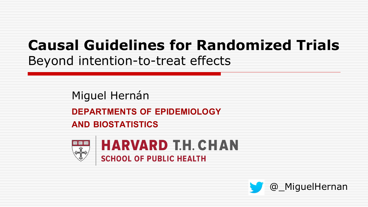# **Causal Guidelines for Randomized Trials** Beyond intention-to-treat effects

Miguel Hernán

**DEPARTMENTS OF EPIDEMIOLOGY**

**AND BIOSTATISTICS**



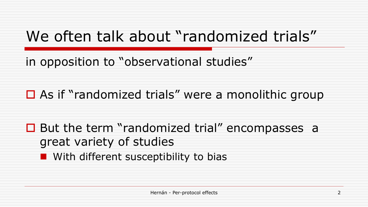# We often talk about "randomized trials"

in opposition to "observational studies"

 $\Box$  As if "randomized trials" were a monolithic group

 $\Box$  But the term "randomized trial" encompasses a great variety of studies

**n** With different susceptibility to bias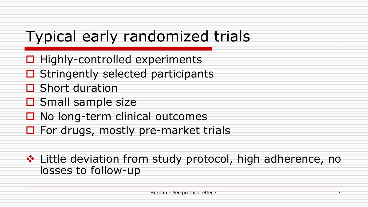# Typical early randomized trials

- $\Box$  Highly-controlled experiments
- $\Box$  Stringently selected participants
- $\Box$  Short duration
- $\square$  Small sample size
- $\Box$  No long-term clinical outcomes
- $\Box$  For drugs, mostly pre-market trials

❖ Little deviation from study protocol, high adherence, no losses to follow-up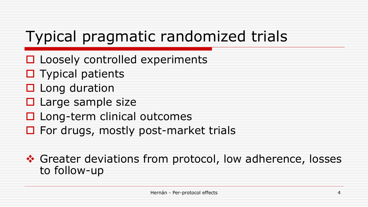# Typical pragmatic randomized trials

- $\Box$  Loosely controlled experiments
- $\square$  Typical patients
- $\Box$  Long duration
- $\Box$  Large sample size
- $\Box$  Long-term clinical outcomes
- $\Box$  For drugs, mostly post-market trials

❖ Greater deviations from protocol, low adherence, losses to follow-up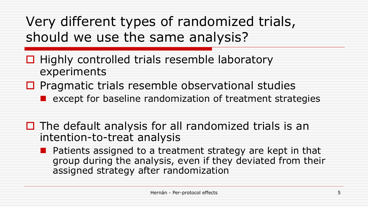Very different types of randomized trials, should we use the same analysis?

- $\Box$  Highly controlled trials resemble laboratory experiments
- $\Box$  Pragmatic trials resemble observational studies
	- $\blacksquare$  except for baseline randomization of treatment strategies
- $\Box$  The default analysis for all randomized trials is an intention-to-treat analysis
	- Patients assigned to a treatment strategy are kept in that group during the analysis, even if they deviated from their assigned strategy after randomization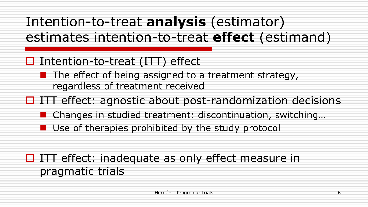Intention-to-treat **analysis** (estimator) estimates intention-to-treat **effect** (estimand)

### $\Box$  Intention-to-treat (ITT) effect

- $\blacksquare$  The effect of being assigned to a treatment strategy, regardless of treatment received
- $\Box$  ITT effect: agnostic about post-randomization decisions
	- Changes in studied treatment: discontinuation, switching...
	- $\blacksquare$  Use of therapies prohibited by the study protocol

### $\Box$  ITT effect: inadequate as only effect measure in pragmatic trials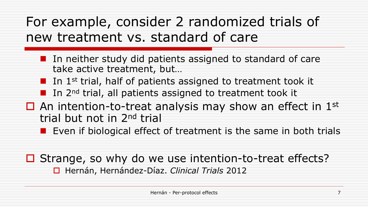# For example, consider 2 randomized trials of new treatment vs. standard of care

- $\blacksquare$  In neither study did patients assigned to standard of care take active treatment, but…
- In 1st trial, half of patients assigned to treatment took it
- **n** In 2<sup>nd</sup> trial, all patients assigned to treatment took it
- $\Box$  An intention-to-treat analysis may show an effect in 1st trial but not in 2nd trial
	- **n** Even if biological effect of treatment is the same in both trials

 $\Box$  Strange, so why do we use intention-to-treat effects? o Hernán, Hernández-Díaz. *Clinical Trials* 2012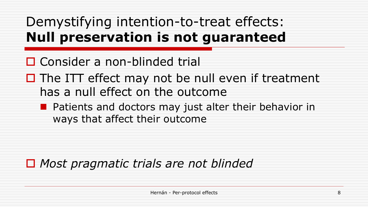# Demystifying intention-to-treat effects: **Null preservation is not guaranteed**

### $\Box$  Consider a non-blinded trial

 $\Box$  The ITT effect may not be null even if treatment has a null effect on the outcome

 $\blacksquare$  Patients and doctors may just alter their behavior in ways that affect their outcome

### ■ Most pragmatic trials are not blinded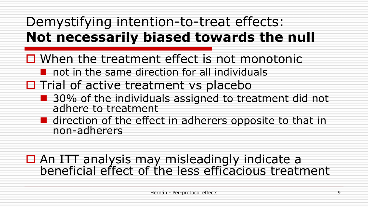# Demystifying intention-to-treat effects: **Not necessarily biased towards the null**

- $\Box$  When the treatment effect is not monotonic
	- $\blacksquare$  not in the same direction for all individuals
- $\Box$  Trial of active treatment vs placebo
	- 30% of the individuals assigned to treatment did not adhere to treatment
	- $\blacksquare$  direction of the effect in adherers opposite to that in non-adherers

### $\Box$  An ITT analysis may misleadingly indicate a beneficial effect of the less efficacious treatment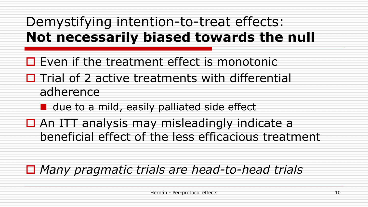# Demystifying intention-to-treat effects: **Not necessarily biased towards the null**

- $\Box$  Even if the treatment effect is monotonic
- $\Box$  Trial of 2 active treatments with differential adherence
	- $\blacksquare$  due to a mild, easily palliated side effect
- $\Box$  An ITT analysis may misleadingly indicate a beneficial effect of the less efficacious treatment

## ■ *Many pragmatic trials are head-to-head trials*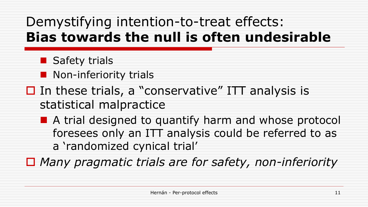# Demystifying intention-to-treat effects: **Bias towards the null is often undesirable**

- $\blacksquare$  Safety trials
- **n** Non-inferiority trials
- $\Box$  In these trials, a "conservative" ITT analysis is statistical malpractice
	- **n** A trial designed to quantify harm and whose protocol foresees only an ITT analysis could be referred to as a 'randomized cynical trial'

□ Many pragmatic trials are for safety, non-inferiority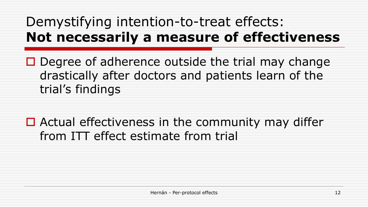# Demystifying intention-to-treat effects: **Not necessarily a measure of effectiveness**

- $\Box$  Degree of adherence outside the trial may change drastically after doctors and patients learn of the trial's findings
- $\Box$  Actual effectiveness in the community may differ from ITT effect estimate from trial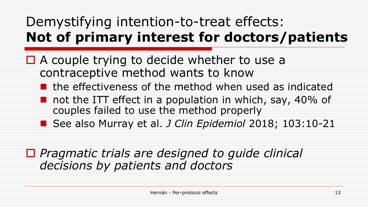# Demystifying intention-to-treat effects: **Not of primary interest for doctors/patients**

- $\Box$  A couple trying to decide whether to use a contraceptive method wants to know
	- $\blacksquare$  the effectiveness of the method when used as indicated
	- not the ITT effect in a population in which, say, 40% of couples failed to use the method properly
	- See also Murray et al. *J Clin Epidemiol* 2018; 103:10-21

### ■ *Pragmatic trials are designed to guide clinical decisions by patients and doctors*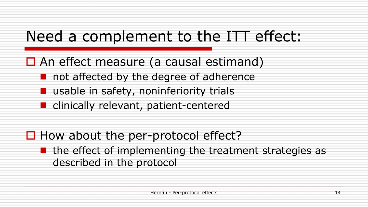# Need a complement to the ITT effect:

 $\Box$  An effect measure (a causal estimand)

- not affected by the degree of adherence
- $\blacksquare$  usable in safety, noninferiority trials
- **n** clinically relevant, patient-centered

 $\Box$  How about the per-protocol effect?

the effect of implementing the treatment strategies as described in the protocol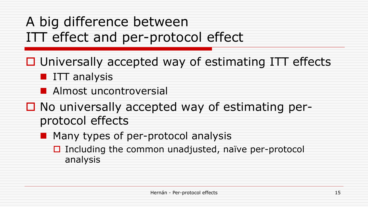# A big difference between ITT effect and per-protocol effect

- $\Box$  Universally accepted way of estimating ITT effects
	- **n** ITT analysis
	- **n** Almost uncontroversial
- $\Box$  No universally accepted way of estimating perprotocol effects
	- **n** Many types of per-protocol analysis
		- $\Box$  Including the common unadjusted, naïve per-protocol analysis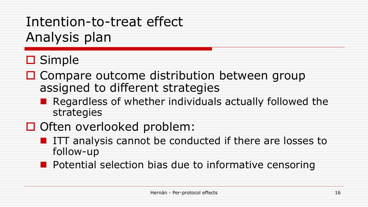Intention-to-treat effect Analysis plan

## $\square$  Simple

- $\Box$  Compare outcome distribution between group assigned to different strategies
	- Regardless of whether individuals actually followed the strategies
- □ Often overlooked problem:
	- **n** ITT analysis cannot be conducted if there are losses to follow-up
	- **n** Potential selection bias due to informative censoring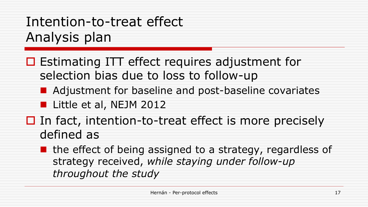# Intention-to-treat effect Analysis plan

- $\Box$  Estimating ITT effect requires adjustment for selection bias due to loss to follow-up
	- Adjustment for baseline and post-baseline covariates

**n** Little et al, NEJM 2012

- $\Box$  In fact, intention-to-treat effect is more precisely defined as
	- $\blacksquare$  the effect of being assigned to a strategy, regardless of strategy received, *while staying under follow-up throughout the study*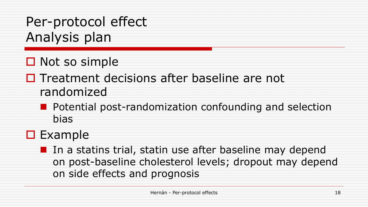Per-protocol effect Analysis plan

- $\Box$  Not so simple
- $\Box$  Treatment decisions after baseline are not randomized
	- Potential post-randomization confounding and selection bias
- $\Box$  Example
	- In a statins trial, statin use after baseline may depend on post-baseline cholesterol levels; dropout may depend on side effects and prognosis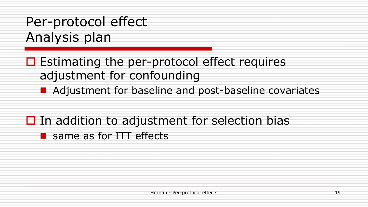# Per-protocol effect Analysis plan

- $\Box$  Estimating the per-protocol effect requires adjustment for confounding
	- Adjustment for baseline and post-baseline covariates
- $\Box$  In addition to adjustment for selection bias  $\blacksquare$  same as for ITT effects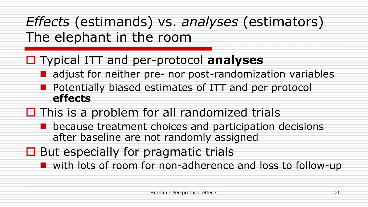*Effects* (estimands) vs. *analyses* (estimators) The elephant in the room

## o Typical ITT and per-protocol **analyses**

- $\blacksquare$  adjust for neither pre- nor post-randomization variables
- Potentially biased estimates of ITT and per protocol **effects**
- $\Box$  This is a problem for all randomized trials
	- because treatment choices and participation decisions after baseline are not randomly assigned
- $\Box$  But especially for pragmatic trials

■ with lots of room for non-adherence and loss to follow-up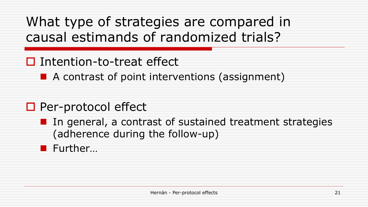What type of strategies are compared in causal estimands of randomized trials?

## $\Box$  Intention-to-treat effect

 $\blacksquare$  A contrast of point interventions (assignment)

## $\square$  Per-protocol effect

 $\blacksquare$  In general, a contrast of sustained treatment strategies (adherence during the follow-up)

### **n** Further...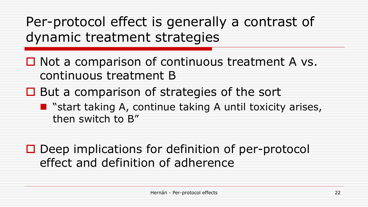Per-protocol effect is generally a contrast of dynamic treatment strategies

 $\Box$  Not a comparison of continuous treatment A vs. continuous treatment B

 $\Box$  But a comparison of strategies of the sort

**n** "start taking A, continue taking A until toxicity arises, then switch to B"

 $\Box$  Deep implications for definition of per-protocol effect and definition of adherence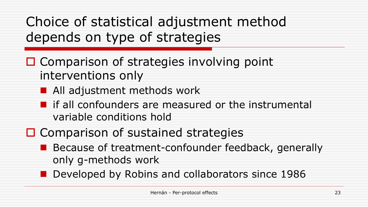Choice of statistical adjustment method depends on type of strategies

- $\Box$  Comparison of strategies involving point interventions only
	- $\blacksquare$  All adjustment methods work
	- $\blacksquare$  if all confounders are measured or the instrumental variable conditions hold
- $\Box$  Comparison of sustained strategies
	- Because of treatment-confounder feedback, generally only g-methods work
	- **n** Developed by Robins and collaborators since 1986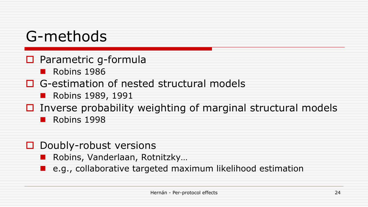# G-methods

- $\Box$  Parametric g-formula
	- $\blacksquare$  Robins 1986
- $\Box$  G-estimation of nested structural models
	- **n** Robins 1989, 1991
- $\Box$  Inverse probability weighting of marginal structural models
	- Robins 1998
- $\Box$  Doubly-robust versions
	- n Robins, Vanderlaan, Rotnitzky…
	- e.g., collaborative targeted maximum likelihood estimation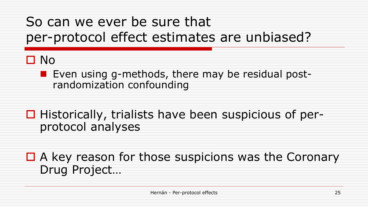# So can we ever be sure that per-protocol effect estimates are unbiased?

## $\Box$  No

- Even using g-methods, there may be residual postrandomization confounding
- $\Box$  Historically, trialists have been suspicious of perprotocol analyses
- $\Box$  A key reason for those suspicions was the Coronary Drug Project…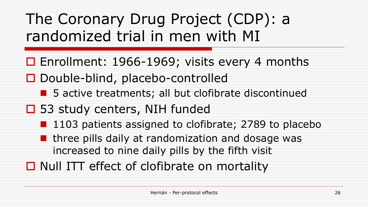The Coronary Drug Project (CDP): a randomized trial in men with MI

- $\Box$  Enrollment: 1966-1969; visits every 4 months  $\Box$  Double-blind, placebo-controlled
	- 5 active treatments; all but clofibrate discontinued
- $\square$  53 study centers, NIH funded
	- 1103 patients assigned to clofibrate; 2789 to placebo
	- $\blacksquare$  three pills daily at randomization and dosage was increased to nine daily pills by the fifth visit
- $\Box$  Null ITT effect of clofibrate on mortality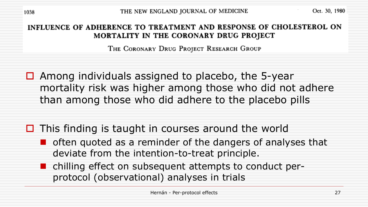THE NEW ENGLAND JOURNAL OF MEDICINE

Oct. 30, 1980

#### INFLUENCE OF ADHERENCE TO TREATMENT AND RESPONSE OF CHOLESTEROL ON MORTALITY IN THE CORONARY DRUG PROJECT

THE CORONARY DRUG PROJECT RESEARCH GROUP

 $\Box$  Among individuals assigned to placebo, the 5-year mortality risk was higher among those who did not adhere than among those who did adhere to the placebo pills

- $\Box$  This finding is taught in courses around the world
	- $\blacksquare$  often quoted as a reminder of the dangers of analyses that deviate from the intention-to-treat principle.
	- chilling effect on subsequent attempts to conduct perprotocol (observational) analyses in trials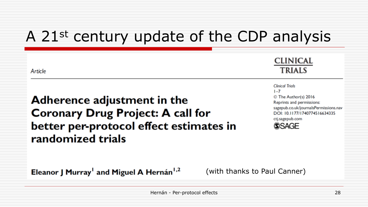# A 21st century update of the CDP analysis

| Article                                                                                                                                 | <b>CLINICAL</b><br><b>TRIALS</b>                                                                                                                                                               |
|-----------------------------------------------------------------------------------------------------------------------------------------|------------------------------------------------------------------------------------------------------------------------------------------------------------------------------------------------|
| Adherence adjustment in the<br><b>Coronary Drug Project: A call for</b><br>better per-protocol effect estimates in<br>randomized trials | <b>Clinical Trials</b><br>$1 - 7$<br>© The Author(s) 2016<br>Reprints and permissions:<br>sagepub.co.uk/journalsPermissions.nav<br>DOI: 10.1177/1740774516634335<br>ctj.sagepub.com<br>(S)SAGF |
| Eleanor J Murray <sup>1</sup> and Miguel A Hernán <sup>1,2</sup>                                                                        | (with thanks to Paul Canner)                                                                                                                                                                   |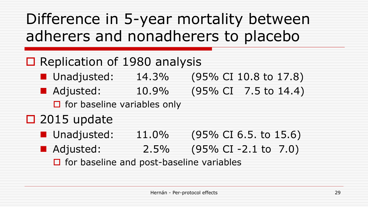# Difference in 5-year mortality between adherers and nonadherers to placebo

## $\Box$  Replication of 1980 analysis

- Unadjusted: 14.3% (95% CI 10.8 to 17.8)
- Adjusted: 10.9% (95% CI 7.5 to 14.4)
	- $\Box$  for baseline variables only

## $\Box$  2015 update

- Unadjusted: 11.0% (95% CI 6.5. to 15.6)
- Adjusted: 2.5% (95% CI-2.1 to 7.0)

 $\Box$  for baseline and post-baseline variables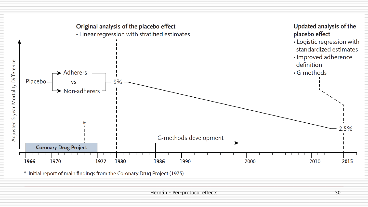

\* Initial report of main findings from the Coronary Drug Project (1975)

For the first participation of the contract of the contract of the contract of the contract of the contract of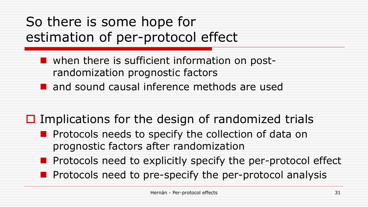# So there is some hope for estimation of per-protocol effect

 $\blacksquare$  when there is sufficient information on postrandomization prognostic factors n and sound causal inference methods are used

- $\Box$  Implications for the design of randomized trials
	- Protocols needs to specify the collection of data on prognostic factors after randomization
	- **n** Protocols need to explicitly specify the per-protocol effect
	- **n** Protocols need to pre-specify the per-protocol analysis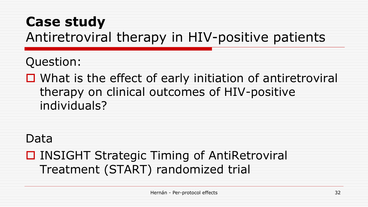# **Case study** Antiretroviral therapy in HIV-positive patients

Question:

 $\Box$  What is the effect of early initiation of antiretroviral therapy on clinical outcomes of HIV-positive individuals?

### Data

## **□ INSIGHT Strategic Timing of AntiRetroviral** Treatment (START) randomized trial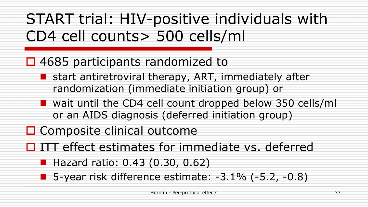# START trial: HIV-positive individuals with CD4 cell counts> 500 cells/ml

## $\Box$  4685 participants randomized to

- **n** start antiretroviral therapy, ART, immediately after randomization (immediate initiation group) or
- wait until the CD4 cell count dropped below 350 cells/ml or an AIDS diagnosis (deferred initiation group)

 $\Box$  Composite clinical outcome

 $\Box$  ITT effect estimates for immediate vs. deferred

■ Hazard ratio: 0.43 (0.30, 0.62)

**n** 5-year risk difference estimate:  $-3.1\%$   $(-5.2, -0.8)$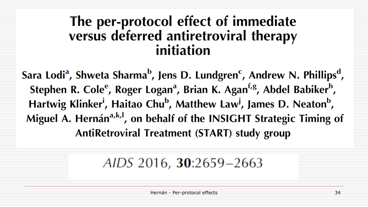## The per-protocol effect of immediate versus deferred antiretroviral therapy initiation

Sara Lodi<sup>a</sup>, Shweta Sharma<sup>b</sup>, Jens D. Lundgren<sup>c</sup>, Andrew N. Phillips<sup>d</sup>, Stephen R. Cole<sup>e</sup>, Roger Logan<sup>a</sup>, Brian K. Agan<sup>f,g</sup>, Abdel Babiker<sup>h</sup>, Hartwig Klinker<sup>i</sup>, Haitao Chu<sup>b</sup>, Matthew Law<sup>j</sup>, James D. Neaton<sup>b</sup>, Miguel A. Hernán<sup>a,k,l</sup>, on behalf of the INSIGHT Strategic Timing of **AntiRetroviral Treatment (START) study group**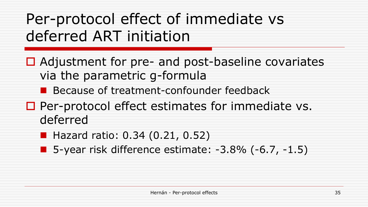# Per-protocol effect of immediate vs deferred ART initiation

- $\Box$  Adjustment for pre- and post-baseline covariates via the parametric g-formula
	- **n** Because of treatment-confounder feedback
- $\Box$  Per-protocol effect estimates for immediate vs. deferred
	- **Hazard ratio: 0.34 (0.21, 0.52)**
	- **n** 5-year risk difference estimate:  $-3.8\%$  ( $-6.7$ ,  $-1.5$ )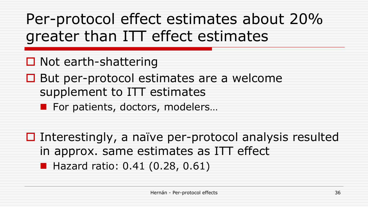Per-protocol effect estimates about 20% greater than ITT effect estimates

 $\Box$  Not earth-shattering

 $\Box$  But per-protocol estimates are a welcome supplement to ITT estimates

For patients, doctors, modelers...

 $\Box$  Interestingly, a naïve per-protocol analysis resulted in approx. same estimates as ITT effect **Hazard ratio: 0.41 (0.28, 0.61)**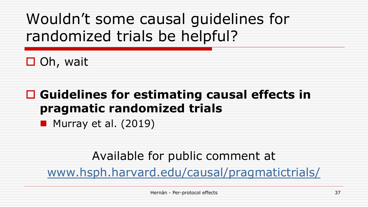# Wouldn't some causal guidelines for randomized trials be helpful?

 $\Box$  Oh, wait

## **□ Guidelines for estimating causal effects in pragmatic randomized trials**

Murray et al. (2019)

### Available for public comment at

[www.hsph.harvard.edu/causal/pragmatictrials/](https://www.hsph.harvard.edu/causal/pragmatictrials/)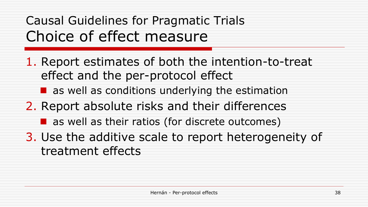# Causal Guidelines for Pragmatic Trials Choice of effect measure

- 1. Report estimates of both the intention-to-treat effect and the per-protocol effect
	- $\blacksquare$  as well as conditions underlying the estimation
- 2. Report absolute risks and their differences
	- $\blacksquare$  as well as their ratios (for discrete outcomes)
- 3. Use the additive scale to report heterogeneity of treatment effects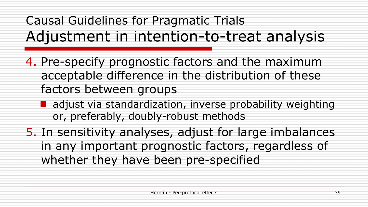# Causal Guidelines for Pragmatic Trials Adjustment in intention-to-treat analysis

- 4. Pre-specify prognostic factors and the maximum acceptable difference in the distribution of these factors between groups
	- I adjust via standardization, inverse probability weighting or, preferably, doubly-robust methods
- 5. In sensitivity analyses, adjust for large imbalances in any important prognostic factors, regardless of whether they have been pre-specified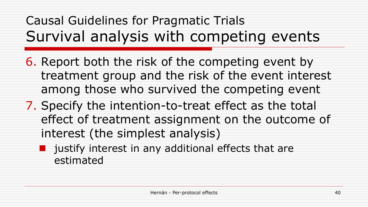Causal Guidelines for Pragmatic Trials Survival analysis with competing events

- 6. Report both the risk of the competing event by treatment group and the risk of the event interest among those who survived the competing event
- 7. Specify the intention-to-treat effect as the total effect of treatment assignment on the outcome of interest (the simplest analysis)
	- justify interest in any additional effects that are estimated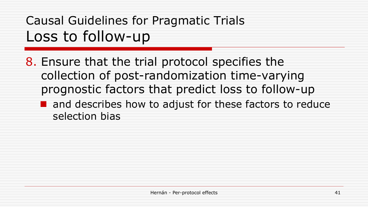# Causal Guidelines for Pragmatic Trials Loss to follow-up

8. Ensure that the trial protocol specifies the collection of post-randomization time-varying prognostic factors that predict loss to follow-up

 $\blacksquare$  and describes how to adjust for these factors to reduce selection bias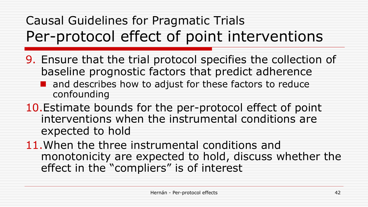# Causal Guidelines for Pragmatic Trials Per-protocol effect of point interventions

- 9. Ensure that the trial protocol specifies the collection of baseline prognostic factors that predict adherence
	- $\blacksquare$  and describes how to adjust for these factors to reduce confounding
- 10.Estimate bounds for the per-protocol effect of point interventions when the instrumental conditions are expected to hold
- 11.When the three instrumental conditions and monotonicity are expected to hold, discuss whether the effect in the "compliers" is of interest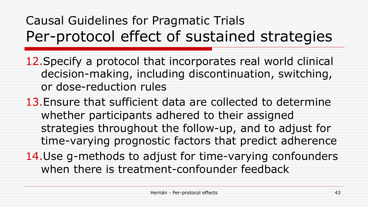# Causal Guidelines for Pragmatic Trials Per-protocol effect of sustained strategies

- 12.Specify a protocol that incorporates real world clinical decision-making, including discontinuation, switching, or dose-reduction rules
- 13.Ensure that sufficient data are collected to determine whether participants adhered to their assigned strategies throughout the follow-up, and to adjust for time-varying prognostic factors that predict adherence
- 14.Use g-methods to adjust for time-varying confounders when there is treatment-confounder feedback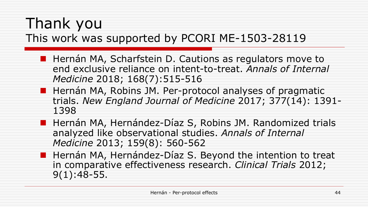## Thank you This work was supported by PCORI ME-1503-28119

- Hernán MA, Scharfstein D. Cautions as regulators move to end exclusive reliance on intent-to-treat. *Annals of Internal Medicine* 2018; 168(7):515-516
- Hernán MA, Robins JM. Per-protocol analyses of pragmatic trials. *New England Journal of Medicine* 2017; 377(14): 1391- 1398
- Hernán MA, Hernández-Díaz S, Robins JM. Randomized trials analyzed like observational studies. *Annals of Internal Medicine* 2013; 159(8): 560-562
- **n** Hernán MA, Hernández-Díaz S. Beyond the intention to treat in comparative effectiveness research. *Clinical Trials* 2012; 9(1):48-55.